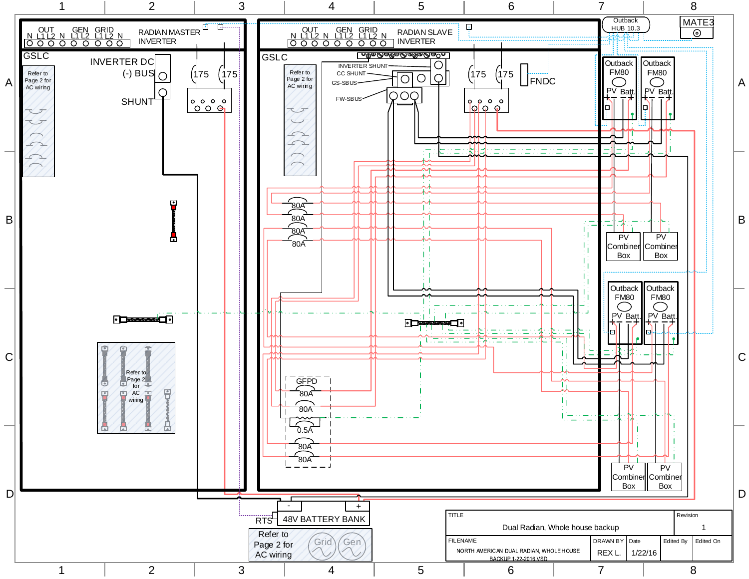